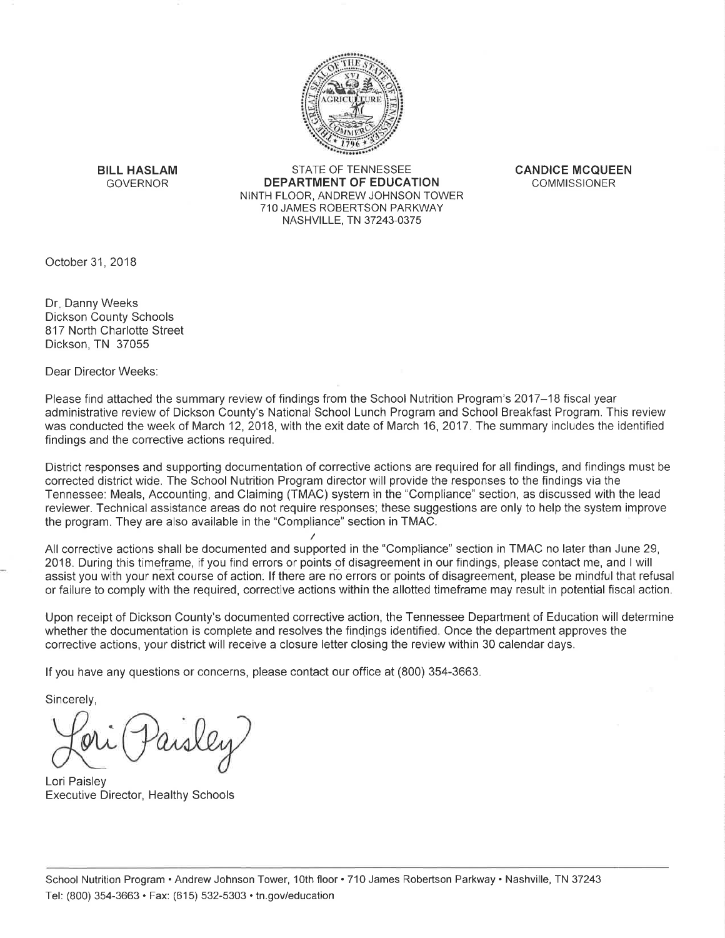

**BILL HASLAM GOVERNOR** 

**STATE OF TENNESSEE DEPARTMENT OF EDUCATION** NINTH FLOOR, ANDREW JOHNSON TOWER 710 JAMES ROBERTSON PARKWAY NASHVILLE, TN 37243-0375

**CANDICE MCQUEEN COMMISSIONER** 

October 31, 2018

Dr. Danny Weeks **Dickson County Schools** 817 North Charlotte Street Dickson, TN 37055

Dear Director Weeks:

Please find attached the summary review of findings from the School Nutrition Program's 2017–18 fiscal year administrative review of Dickson County's National School Lunch Program and School Breakfast Program. This review was conducted the week of March 12, 2018, with the exit date of March 16, 2017. The summary includes the identified findings and the corrective actions required.

District responses and supporting documentation of corrective actions are required for all findings, and findings must be corrected district wide. The School Nutrition Program director will provide the responses to the findings via the Tennessee: Meals, Accounting, and Claiming (TMAC) system in the "Compliance" section, as discussed with the lead reviewer. Technical assistance areas do not require responses; these suggestions are only to help the system improve the program. They are also available in the "Compliance" section in TMAC.

All corrective actions shall be documented and supported in the "Compliance" section in TMAC no later than June 29, 2018. During this timeframe, if you find errors or points of disagreement in our findings, please contact me, and I will assist you with your next course of action. If there are no errors or points of disagreement, please be mindful that refusal or failure to comply with the required, corrective actions within the allotted timeframe may result in potential fiscal action.

Upon receipt of Dickson County's documented corrective action, the Tennessee Department of Education will determine whether the documentation is complete and resolves the findings identified. Once the department approves the corrective actions, your district will receive a closure letter closing the review within 30 calendar days.

If you have any questions or concerns, please contact our office at (800) 354-3663.

Sincerely,

Lori Paisley **Executive Director, Healthy Schools**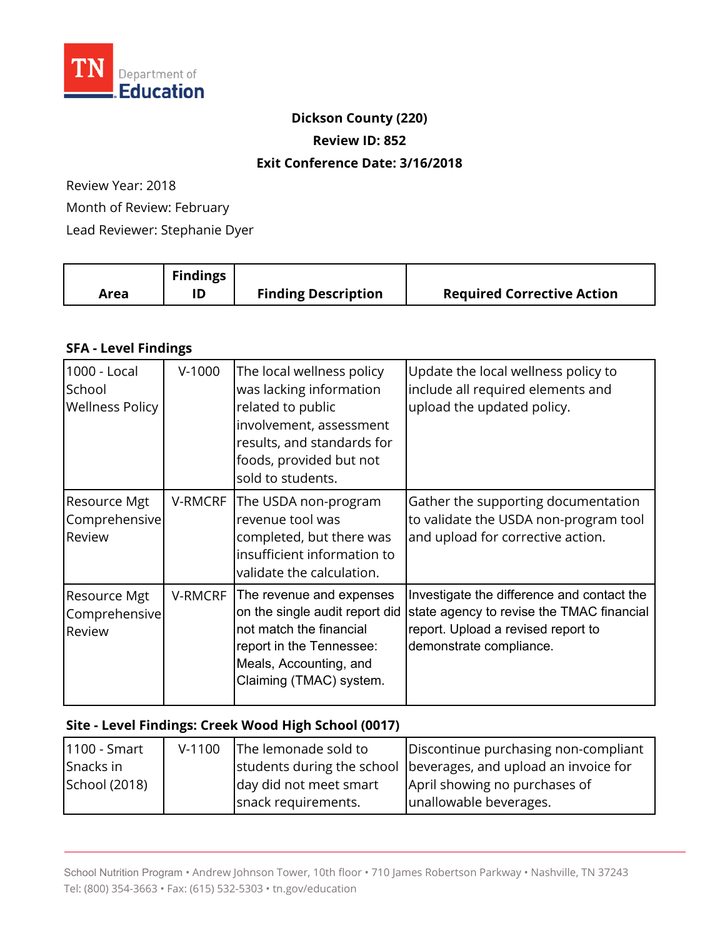

#### **Dickson County (220)**

**Review ID: 852** 

#### **Exit Conference Date: 3/16/2018**

Review Year: 2018 Month of Review: February Lead Reviewer: Stephanie Dyer

|      | <b>Findings</b> |                            |                                   |
|------|-----------------|----------------------------|-----------------------------------|
| Area | ID              | <b>Finding Description</b> | <b>Required Corrective Action</b> |

### **SFA - Level Findings**

| 1000 - Local<br>School<br><b>Wellness Policy</b> | $V-1000$       | The local wellness policy<br>was lacking information<br>related to public<br>involvement, assessment<br>results, and standards for<br>foods, provided but not<br>sold to students. | Update the local wellness policy to<br>include all required elements and<br>upload the updated policy.                                                   |
|--------------------------------------------------|----------------|------------------------------------------------------------------------------------------------------------------------------------------------------------------------------------|----------------------------------------------------------------------------------------------------------------------------------------------------------|
| <b>Resource Mgt</b><br>Comprehensive<br>Review   | V-RMCRF        | The USDA non-program<br>revenue tool was<br>completed, but there was<br>insufficient information to<br>validate the calculation.                                                   | Gather the supporting documentation<br>to validate the USDA non-program tool<br>and upload for corrective action.                                        |
| <b>Resource Mgt</b><br>Comprehensive<br>Review   | <b>V-RMCRF</b> | The revenue and expenses<br>on the single audit report did<br>not match the financial<br>report in the Tennessee:<br>Meals, Accounting, and<br>Claiming (TMAC) system.             | Investigate the difference and contact the<br>state agency to revise the TMAC financial<br>report. Upload a revised report to<br>demonstrate compliance. |

## **Site - Level Findings: Creek Wood High School (0017)**

| 1100 - Smart  | $V-1100$ | The lemonade sold to   | Discontinue purchasing non-compliant                            |
|---------------|----------|------------------------|-----------------------------------------------------------------|
| Snacks in     |          |                        | students during the school beverages, and upload an invoice for |
| School (2018) |          | day did not meet smart | April showing no purchases of                                   |
|               |          | snack requirements.    | unallowable beverages.                                          |